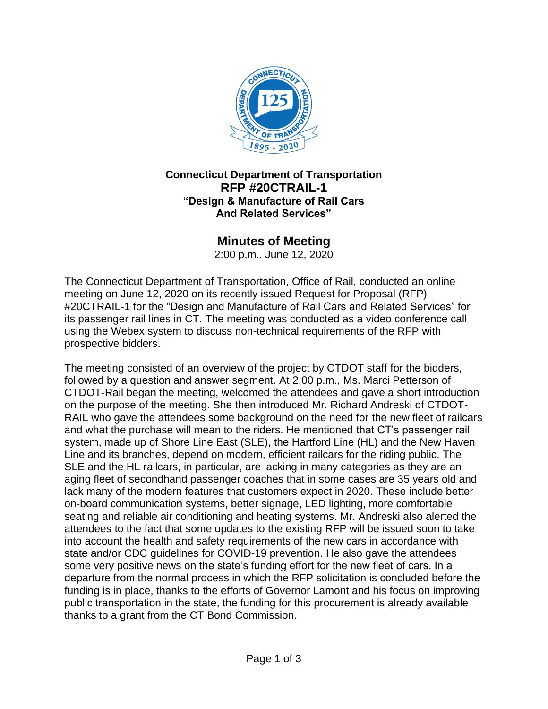

#### **Connecticut Department of Transportation RFP #20CTRAIL-1 "Design & Manufacture of Rail Cars And Related Services"**

#### **Minutes of Meeting**

2:00 p.m., June 12, 2020

The Connecticut Department of Transportation, Office of Rail, conducted an online meeting on June 12, 2020 on its recently issued Request for Proposal (RFP) #20CTRAIL-1 for the "Design and Manufacture of Rail Cars and Related Services" for its passenger rail lines in CT. The meeting was conducted as a video conference call using the Webex system to discuss non-technical requirements of the RFP with prospective bidders.

The meeting consisted of an overview of the project by CTDOT staff for the bidders, followed by a question and answer segment. At 2:00 p.m., Ms. Marci Petterson of CTDOT-Rail began the meeting, welcomed the attendees and gave a short introduction on the purpose of the meeting. She then introduced Mr. Richard Andreski of CTDOT-RAIL who gave the attendees some background on the need for the new fleet of railcars and what the purchase will mean to the riders. He mentioned that CT's passenger rail system, made up of Shore Line East (SLE), the Hartford Line (HL) and the New Haven Line and its branches, depend on modern, efficient railcars for the riding public. The SLE and the HL railcars, in particular, are lacking in many categories as they are an aging fleet of secondhand passenger coaches that in some cases are 35 years old and lack many of the modern features that customers expect in 2020. These include better on-board communication systems, better signage, LED lighting, more comfortable seating and reliable air conditioning and heating systems. Mr. Andreski also alerted the attendees to the fact that some updates to the existing RFP will be issued soon to take into account the health and safety requirements of the new cars in accordance with state and/or CDC guidelines for COVID-19 prevention. He also gave the attendees some very positive news on the state's funding effort for the new fleet of cars. In a departure from the normal process in which the RFP solicitation is concluded before the funding is in place, thanks to the efforts of Governor Lamont and his focus on improving public transportation in the state, the funding for this procurement is already available thanks to a grant from the CT Bond Commission.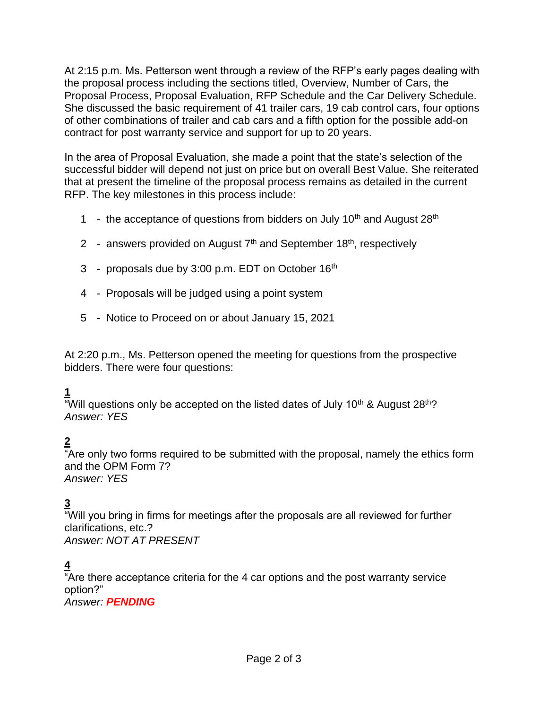At 2:15 p.m. Ms. Petterson went through a review of the RFP's early pages dealing with the proposal process including the sections titled, Overview, Number of Cars, the Proposal Process, Proposal Evaluation, RFP Schedule and the Car Delivery Schedule. She discussed the basic requirement of 41 trailer cars, 19 cab control cars, four options of other combinations of trailer and cab cars and a fifth option for the possible add-on contract for post warranty service and support for up to 20 years.

In the area of Proposal Evaluation, she made a point that the state's selection of the successful bidder will depend not just on price but on overall Best Value. She reiterated that at present the timeline of the proposal process remains as detailed in the current RFP. The key milestones in this process include:

- 1 the acceptance of questions from bidders on July 10<sup>th</sup> and August 28<sup>th</sup>
- 2 answers provided on August 7<sup>th</sup> and September 18<sup>th</sup>, respectively
- 3 proposals due by  $3:00$  p.m. EDT on October  $16<sup>th</sup>$
- 4 Proposals will be judged using a point system
- 5 Notice to Proceed on or about January 15, 2021

At 2:20 p.m., Ms. Petterson opened the meeting for questions from the prospective bidders. There were four questions:

#### **1**

"Will questions only be accepted on the listed dates of July 10<sup>th</sup> & August 28<sup>th</sup>? *Answer: YES*

## **2**

"Are only two forms required to be submitted with the proposal, namely the ethics form and the OPM Form 7? *Answer: YES*

## **3**

"Will you bring in firms for meetings after the proposals are all reviewed for further clarifications, etc.? *Answer: NOT AT PRESENT*

## **4**

"Are there acceptance criteria for the 4 car options and the post warranty service option?" *Answer: PENDING*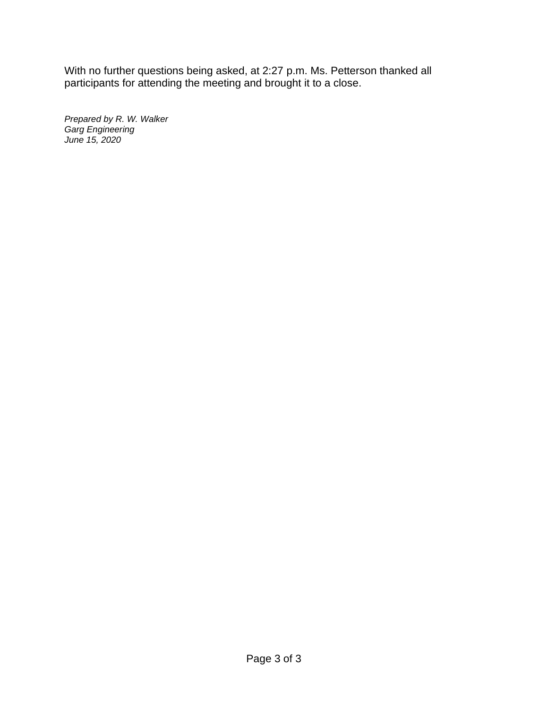With no further questions being asked, at 2:27 p.m. Ms. Petterson thanked all participants for attending the meeting and brought it to a close.

*Prepared by R. W. Walker Garg Engineering June 15, 2020*